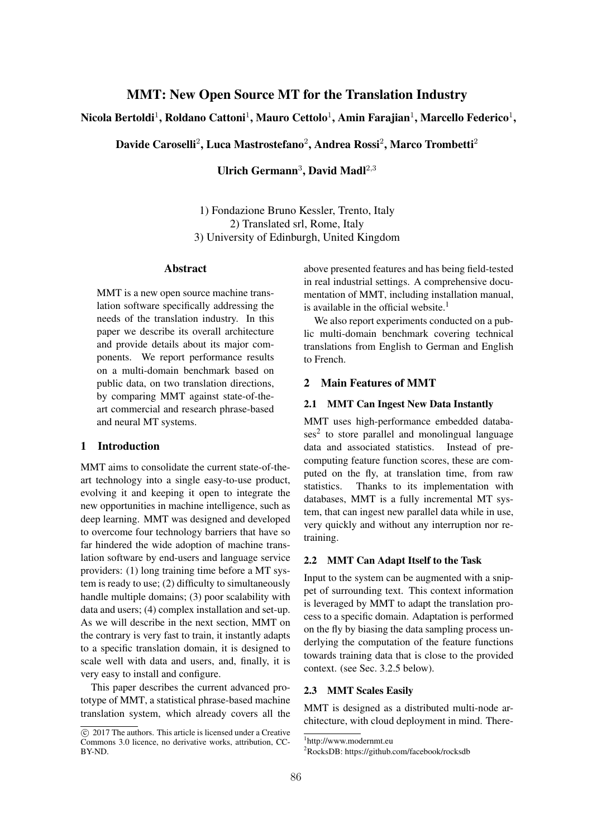# MMT: New Open Source MT for the Translation Industry

Nicola Bertoldi<sup>1</sup>, Roldano Cattoni<sup>1</sup>, Mauro Cettolo<sup>1</sup>, Amin Farajian<sup>1</sup>, Marcello Federico<sup>1</sup>,

Davide Caroselli<sup>2</sup>, Luca Mastrostefano<sup>2</sup>, Andrea Rossi<sup>2</sup>, Marco Trombetti<sup>2</sup>

Ulrich Germann<sup>3</sup>, David Madl<sup>2,3</sup>

1) Fondazione Bruno Kessler, Trento, Italy 2) Translated srl, Rome, Italy 3) University of Edinburgh, United Kingdom

# Abstract

MMT is a new open source machine translation software specifically addressing the needs of the translation industry. In this paper we describe its overall architecture and provide details about its major components. We report performance results on a multi-domain benchmark based on public data, on two translation directions, by comparing MMT against state-of-theart commercial and research phrase-based and neural MT systems.

### 1 Introduction

MMT aims to consolidate the current state-of-theart technology into a single easy-to-use product, evolving it and keeping it open to integrate the new opportunities in machine intelligence, such as deep learning. MMT was designed and developed to overcome four technology barriers that have so far hindered the wide adoption of machine translation software by end-users and language service providers: (1) long training time before a MT system is ready to use; (2) difficulty to simultaneously handle multiple domains; (3) poor scalability with data and users; (4) complex installation and set-up. As we will describe in the next section, MMT on the contrary is very fast to train, it instantly adapts to a specific translation domain, it is designed to scale well with data and users, and, finally, it is very easy to install and configure.

This paper describes the current advanced prototype of MMT, a statistical phrase-based machine translation system, which already covers all the above presented features and has being field-tested in real industrial settings. A comprehensive documentation of MMT, including installation manual, is available in the official website. $<sup>1</sup>$ </sup>

We also report experiments conducted on a public multi-domain benchmark covering technical translations from English to German and English to French.

#### 2 Main Features of MMT

### 2.1 MMT Can Ingest New Data Instantly

MMT uses high-performance embedded databa $s$ es<sup>2</sup> to store parallel and monolingual language data and associated statistics. Instead of precomputing feature function scores, these are computed on the fly, at translation time, from raw statistics. Thanks to its implementation with databases, MMT is a fully incremental MT system, that can ingest new parallel data while in use, very quickly and without any interruption nor retraining.

### 2.2 MMT Can Adapt Itself to the Task

Input to the system can be augmented with a snippet of surrounding text. This context information is leveraged by MMT to adapt the translation process to a specific domain. Adaptation is performed on the fly by biasing the data sampling process underlying the computation of the feature functions towards training data that is close to the provided context. (see Sec. 3.2.5 below).

## 2.3 MMT Scales Easily

MMT is designed as a distributed multi-node architecture, with cloud deployment in mind. There-

 $\odot$  2017 The authors. This article is licensed under a Creative Commons 3.0 licence, no derivative works, attribution, CC-BY-ND.

<sup>1</sup> http://www.modernmt.eu

<sup>&</sup>lt;sup>2</sup>RocksDB: https://github.com/facebook/rocksdb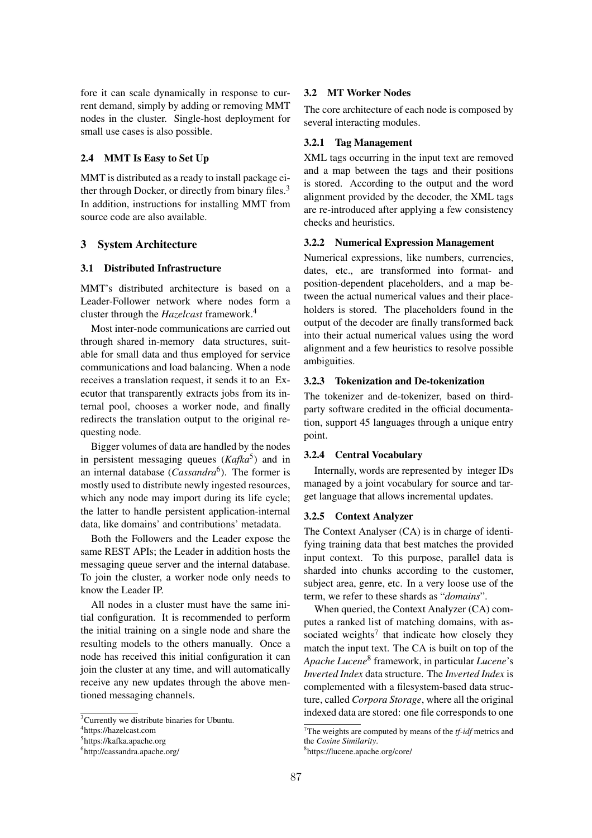fore it can scale dynamically in response to current demand, simply by adding or removing MMT nodes in the cluster. Single-host deployment for small use cases is also possible.

# 2.4 MMT Is Easy to Set Up

MMT is distributed as a ready to install package either through Docker, or directly from binary files.<sup>3</sup> In addition, instructions for installing MMT from source code are also available.

#### 3 System Architecture

### 3.1 Distributed Infrastructure

MMT's distributed architecture is based on a Leader-Follower network where nodes form a cluster through the *Hazelcast* framework.4

Most inter-node communications are carried out through shared in-memory data structures, suitable for small data and thus employed for service communications and load balancing. When a node receives a translation request, it sends it to an Executor that transparently extracts jobs from its internal pool, chooses a worker node, and finally redirects the translation output to the original requesting node.

Bigger volumes of data are handled by the nodes in persistent messaging queues  $(Ka\pi k a^5)$  and in an internal database (*Cassandra*<sup>6</sup>). The former is mostly used to distribute newly ingested resources, which any node may import during its life cycle; the latter to handle persistent application-internal data, like domains' and contributions' metadata.

Both the Followers and the Leader expose the same REST APIs; the Leader in addition hosts the messaging queue server and the internal database. To join the cluster, a worker node only needs to know the Leader IP.

All nodes in a cluster must have the same initial configuration. It is recommended to perform the initial training on a single node and share the resulting models to the others manually. Once a node has received this initial configuration it can join the cluster at any time, and will automatically receive any new updates through the above mentioned messaging channels.

# 3.2 MT Worker Nodes

The core architecture of each node is composed by several interacting modules.

#### 3.2.1 Tag Management

XML tags occurring in the input text are removed and a map between the tags and their positions is stored. According to the output and the word alignment provided by the decoder, the XML tags are re-introduced after applying a few consistency checks and heuristics.

#### 3.2.2 Numerical Expression Management

Numerical expressions, like numbers, currencies, dates, etc., are transformed into format- and position-dependent placeholders, and a map between the actual numerical values and their placeholders is stored. The placeholders found in the output of the decoder are finally transformed back into their actual numerical values using the word alignment and a few heuristics to resolve possible ambiguities.

### 3.2.3 Tokenization and De-tokenization

The tokenizer and de-tokenizer, based on thirdparty software credited in the official documentation, support 45 languages through a unique entry point.

### 3.2.4 Central Vocabulary

Internally, words are represented by integer IDs managed by a joint vocabulary for source and target language that allows incremental updates.

#### 3.2.5 Context Analyzer

The Context Analyser (CA) is in charge of identifying training data that best matches the provided input context. To this purpose, parallel data is sharded into chunks according to the customer, subject area, genre, etc. In a very loose use of the term, we refer to these shards as "*domains*".

When queried, the Context Analyzer (CA) computes a ranked list of matching domains, with associated weights<sup>7</sup> that indicate how closely they match the input text. The CA is built on top of the *Apache Lucene*<sup>8</sup> framework, in particular *Lucene*'s *Inverted Index* data structure. The *Inverted Index* is complemented with a filesystem-based data structure, called *Corpora Storage*, where all the original indexed data are stored: one file corresponds to one

<sup>&</sup>lt;sup>3</sup> Currently we distribute binaries for Ubuntu.

<sup>4</sup> https://hazelcast.com

<sup>&</sup>lt;sup>5</sup>https://kafka.apache.org

<sup>6</sup> http://cassandra.apache.org/

<sup>7</sup> The weights are computed by means of the *tf-idf* metrics and the *Cosine Similarity*.

<sup>8</sup> https://lucene.apache.org/core/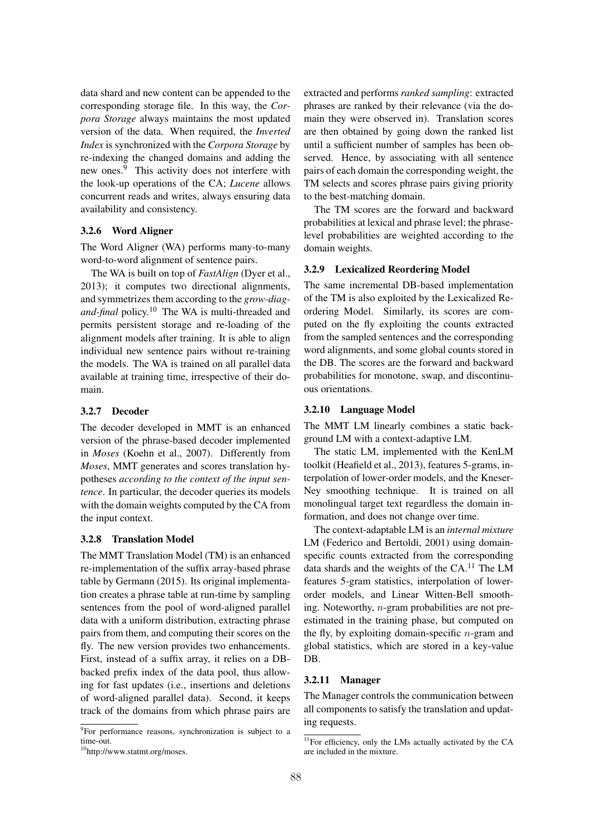data shard and new content can be appended to the corresponding storage file. In this way, the *Corpora Storage* always maintains the most updated version of the data. When required, the *Inverted Index* is synchronized with the *Corpora Storage* by re-indexing the changed domains and adding the new ones.<sup>9</sup> This activity does not interfere with the look-up operations of the CA; *Lucene* allows concurrent reads and writes, always ensuring data availability and consistency.

#### 3.2.6 Word Aligner

The Word Aligner (WA) performs many-to-many word-to-word alignment of sentence pairs.

The WA is built on top of *FastAlign* (Dyer et al., 2013); it computes two directional alignments, and symmetrizes them according to the *grow-diagand-final* policy.10 The WA is multi-threaded and permits persistent storage and re-loading of the alignment models after training. It is able to align individual new sentence pairs without re-training the models. The WA is trained on all parallel data available at training time, irrespective of their domain.

# 3.2.7 Decoder

The decoder developed in MMT is an enhanced version of the phrase-based decoder implemented in *Moses* (Koehn et al., 2007). Differently from *Moses*, MMT generates and scores translation hypotheses *according to the context of the input sentence*. In particular, the decoder queries its models with the domain weights computed by the CA from the input context.

### 3.2.8 Translation Model

The MMT Translation Model (TM) is an enhanced re-implementation of the suffix array-based phrase table by Germann (2015). Its original implementation creates a phrase table at run-time by sampling sentences from the pool of word-aligned parallel data with a uniform distribution, extracting phrase pairs from them, and computing their scores on the fly. The new version provides two enhancements. First, instead of a suffix array, it relies on a DBbacked prefix index of the data pool, thus allowing for fast updates (i.e., insertions and deletions of word-aligned parallel data). Second, it keeps track of the domains from which phrase pairs are extracted and performs *ranked sampling*: extracted phrases are ranked by their relevance (via the domain they were observed in). Translation scores are then obtained by going down the ranked list until a sufficient number of samples has been observed. Hence, by associating with all sentence pairs of each domain the corresponding weight, the TM selects and scores phrase pairs giving priority to the best-matching domain.

The TM scores are the forward and backward probabilities at lexical and phrase level; the phraselevel probabilities are weighted according to the domain weights.

# 3.2.9 Lexicalized Reordering Model

The same incremental DB-based implementation of the TM is also exploited by the Lexicalized Reordering Model. Similarly, its scores are computed on the fly exploiting the counts extracted from the sampled sentences and the corresponding word alignments, and some global counts stored in the DB. The scores are the forward and backward probabilities for monotone, swap, and discontinuous orientations.

#### 3.2.10 Language Model

The MMT LM linearly combines a static background LM with a context-adaptive LM.

The static LM, implemented with the KenLM toolkit (Heafield et al., 2013), features 5-grams, interpolation of lower-order models, and the Kneser-Ney smoothing technique. It is trained on all monolingual target text regardless the domain information, and does not change over time.

The context-adaptable LM is an *internal mixture* LM (Federico and Bertoldi, 2001) using domainspecific counts extracted from the corresponding data shards and the weights of the  $CA$ .<sup>11</sup> The LM features 5-gram statistics, interpolation of lowerorder models, and Linear Witten-Bell smoothing. Noteworthy, *n*-gram probabilities are not preestimated in the training phase, but computed on the fly, by exploiting domain-specific *n*-gram and global statistics, which are stored in a key-value DB.

# 3.2.11 Manager

The Manager controls the communication between all components to satisfy the translation and updating requests.

<sup>&</sup>lt;sup>9</sup>For performance reasons, synchronization is subject to a time-out.

<sup>10</sup>http://www.statmt.org/moses.

<sup>&</sup>lt;sup>11</sup>For efficiency, only the LMs actually activated by the CA are included in the mixture.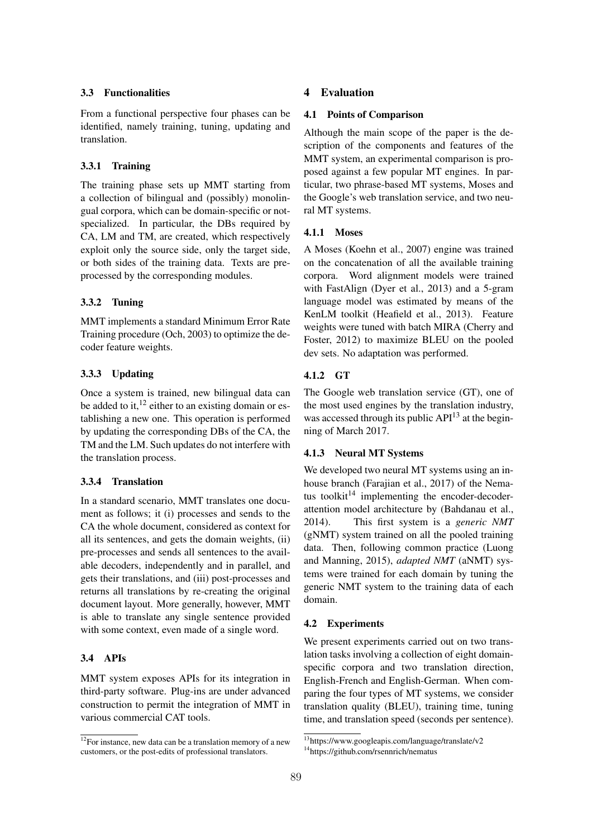#### 3.3 Functionalities

From a functional perspective four phases can be identified, namely training, tuning, updating and translation.

#### 3.3.1 Training

The training phase sets up MMT starting from a collection of bilingual and (possibly) monolingual corpora, which can be domain-specific or notspecialized. In particular, the DBs required by CA, LM and TM, are created, which respectively exploit only the source side, only the target side, or both sides of the training data. Texts are preprocessed by the corresponding modules.

# 3.3.2 Tuning

MMT implements a standard Minimum Error Rate Training procedure (Och, 2003) to optimize the decoder feature weights.

# 3.3.3 Updating

Once a system is trained, new bilingual data can be added to it,  $^{12}$  either to an existing domain or establishing a new one. This operation is performed by updating the corresponding DBs of the CA, the TM and the LM. Such updates do not interfere with the translation process.

# 3.3.4 Translation

In a standard scenario, MMT translates one document as follows; it (i) processes and sends to the CA the whole document, considered as context for all its sentences, and gets the domain weights, (ii) pre-processes and sends all sentences to the available decoders, independently and in parallel, and gets their translations, and (iii) post-processes and returns all translations by re-creating the original document layout. More generally, however, MMT is able to translate any single sentence provided with some context, even made of a single word.

# 3.4 APIs

MMT system exposes APIs for its integration in third-party software. Plug-ins are under advanced construction to permit the integration of MMT in various commercial CAT tools.

# 4 Evaluation

#### 4.1 Points of Comparison

Although the main scope of the paper is the description of the components and features of the MMT system, an experimental comparison is proposed against a few popular MT engines. In particular, two phrase-based MT systems, Moses and the Google's web translation service, and two neural MT systems.

#### 4.1.1 Moses

A Moses (Koehn et al., 2007) engine was trained on the concatenation of all the available training corpora. Word alignment models were trained with FastAlign (Dyer et al., 2013) and a 5-gram language model was estimated by means of the KenLM toolkit (Heafield et al., 2013). Feature weights were tuned with batch MIRA (Cherry and Foster, 2012) to maximize BLEU on the pooled dev sets. No adaptation was performed.

# 4.1.2 GT

The Google web translation service (GT), one of the most used engines by the translation industry, was accessed through its public API<sup>13</sup> at the beginning of March 2017.

### 4.1.3 Neural MT Systems

We developed two neural MT systems using an inhouse branch (Farajian et al., 2017) of the Nematus toolkit $14$  implementing the encoder-decoderattention model architecture by (Bahdanau et al., 2014). This first system is a *generic NMT* (gNMT) system trained on all the pooled training data. Then, following common practice (Luong and Manning, 2015), *adapted NMT* (aNMT) systems were trained for each domain by tuning the generic NMT system to the training data of each domain.

#### 4.2 Experiments

We present experiments carried out on two translation tasks involving a collection of eight domainspecific corpora and two translation direction, English-French and English-German. When comparing the four types of MT systems, we consider translation quality (BLEU), training time, tuning time, and translation speed (seconds per sentence).

 $12$  For instance, new data can be a translation memory of a new customers, or the post-edits of professional translators.

<sup>13</sup>https://www.googleapis.com/language/translate/v2 14https://github.com/rsennrich/nematus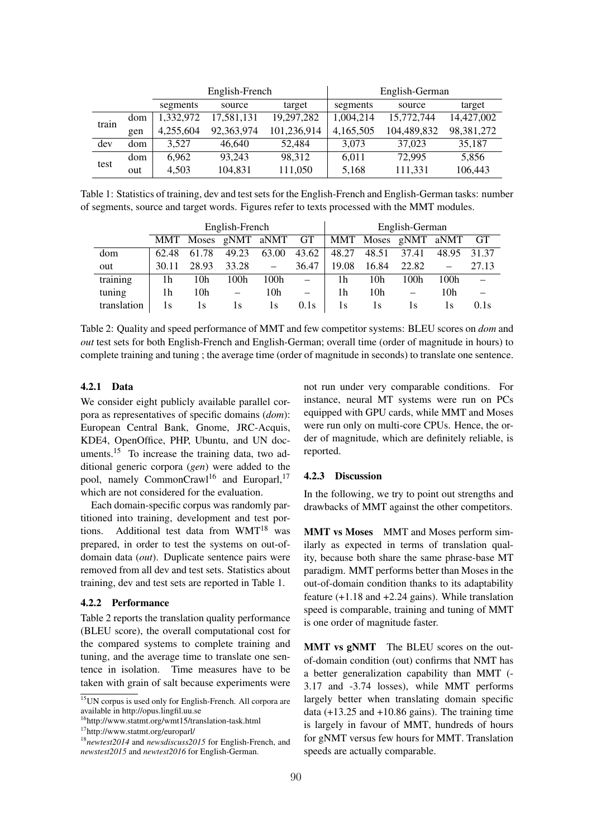|       |     |           | English-French |             | English-German |             |              |  |
|-------|-----|-----------|----------------|-------------|----------------|-------------|--------------|--|
|       |     | segments  | source         | target      | segments       | source      | target       |  |
| train | dom | 1,332,972 | 17,581,131     | 19,297,282  | 1.004.214      | 15.772.744  | 14,427,002   |  |
|       | gen | 4,255,604 | 92,363,974     | 101,236,914 | 4,165,505      | 104,489,832 | 98, 381, 272 |  |
| dev   | dom | 3.527     | 46,640         | 52.484      | 3.073          | 37,023      | 35,187       |  |
| test  | dom | 6.962     | 93.243         | 98.312      | 6.011          | 72,995      | 5,856        |  |
|       | out | 4.503     | 104,831        | 111,050     | 5,168          | 111,331     | 106,443      |  |

Table 1: Statistics of training, dev and test sets for the English-French and English-German tasks: number of segments, source and target words. Figures refer to texts processed with the MMT modules.

|             | English-French |       |                        |                          |       | English-German |       |                        |       |           |
|-------------|----------------|-------|------------------------|--------------------------|-------|----------------|-------|------------------------|-------|-----------|
|             |                |       | MMT Moses gNMT aNMT GT |                          |       |                |       | MMT Moses gNMT         | aNMT  | <b>GT</b> |
| dom         | 62.48          | 61.78 | 49.23                  | 63.00                    | 43.62 | 48.27          | 48.51 | 37.41                  | 48.95 | 31.37     |
| out         | 30.11          | 28.93 | 33.28                  | $\overline{\phantom{m}}$ | 36.47 | 19.08          | 16.84 | 22.82                  |       | 27.13     |
| training    | 1h             | 10h   | 100h                   | 100 <sub>h</sub>         |       | 1h             | 10h   | 100 <sub>h</sub>       | 100h  |           |
| tuning      | 1h             | 10h   |                        | 10h                      |       | 1h             | 10h   | $\qquad \qquad \qquad$ | 10h   |           |
| translation | 1s             | 1s    | 1s                     | 1s                       | 0.1s  | 1s             | 1s    | I S                    | 1s    | 0.1s      |

Table 2: Quality and speed performance of MMT and few competitor systems: BLEU scores on *dom* and *out* test sets for both English-French and English-German; overall time (order of magnitude in hours) to complete training and tuning ; the average time (order of magnitude in seconds) to translate one sentence.

# 4.2.1 Data

We consider eight publicly available parallel corpora as representatives of specific domains (*dom*): European Central Bank, Gnome, JRC-Acquis, KDE4, OpenOffice, PHP, Ubuntu, and UN documents.<sup>15</sup> To increase the training data, two additional generic corpora (*gen*) were added to the pool, namely CommonCrawl<sup>16</sup> and Europarl,<sup>17</sup> which are not considered for the evaluation.

Each domain-specific corpus was randomly partitioned into training, development and test portions. Additional test data from  $WMT^{18}$  was prepared, in order to test the systems on out-ofdomain data (*out*). Duplicate sentence pairs were removed from all dev and test sets. Statistics about training, dev and test sets are reported in Table 1.

#### 4.2.2 Performance

Table 2 reports the translation quality performance (BLEU score), the overall computational cost for the compared systems to complete training and tuning, and the average time to translate one sentence in isolation. Time measures have to be taken with grain of salt because experiments were

not run under very comparable conditions. For instance, neural MT systems were run on PCs equipped with GPU cards, while MMT and Moses were run only on multi-core CPUs. Hence, the order of magnitude, which are definitely reliable, is reported.

# 4.2.3 Discussion

In the following, we try to point out strengths and drawbacks of MMT against the other competitors.

MMT vs Moses MMT and Moses perform similarly as expected in terms of translation quality, because both share the same phrase-base MT paradigm. MMT performs better than Moses in the out-of-domain condition thanks to its adaptability feature (+1.18 and +2.24 gains). While translation speed is comparable, training and tuning of MMT is one order of magnitude faster.

MMT vs gNMT The BLEU scores on the outof-domain condition (out) confirms that NMT has a better generalization capability than MMT (- 3.17 and -3.74 losses), while MMT performs largely better when translating domain specific data  $(+13.25 \text{ and } +10.86 \text{ gains})$ . The training time is largely in favour of MMT, hundreds of hours for gNMT versus few hours for MMT. Translation speeds are actually comparable.

<sup>&</sup>lt;sup>15</sup>UN corpus is used only for English-French. All corpora are available in http://opus.lingfil.uu.se

<sup>16</sup>http://www.statmt.org/wmt15/translation-task.html

<sup>17</sup>http://www.statmt.org/europarl/

<sup>18</sup>*newtest2014* and *newsdiscuss2015* for English-French, and *newstest2015* and *newtest2016* for English-German.